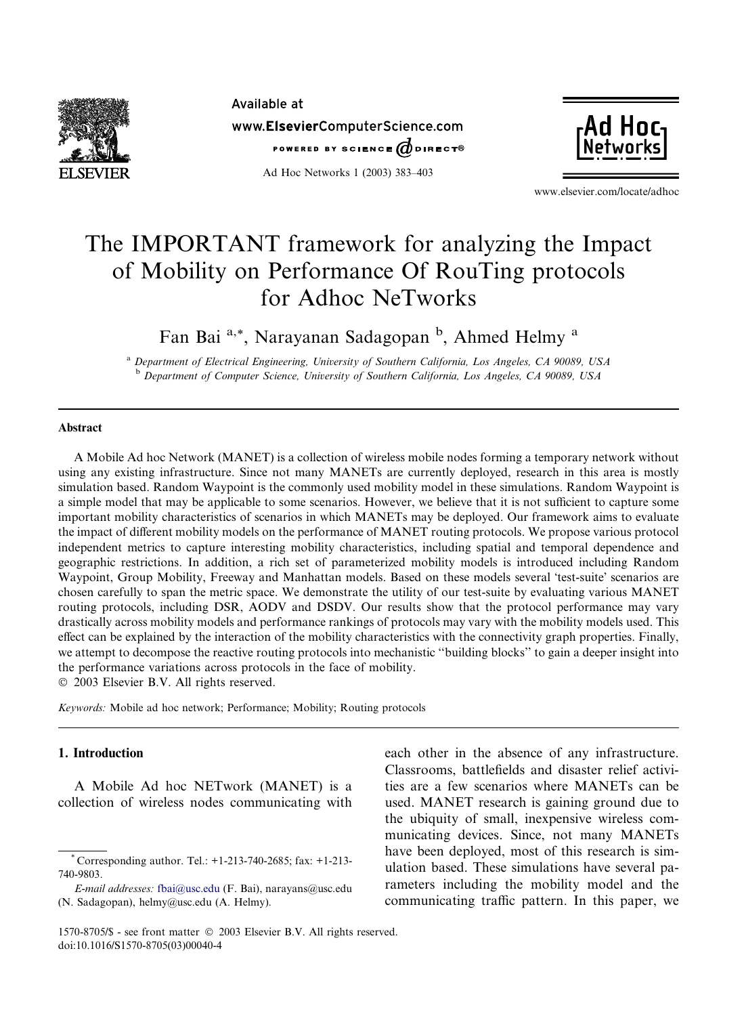

Available at www.ElsevierComputerScience.com POWERED BY SCIENCE  $\phi$  direct<sup>®</sup>

Ad Hoc Networks 1 (2003) 383–403



www.elsevier.com/locate/adhoc

# The IMPORTANT framework for analyzing the Impact of Mobility on Performance Of RouTing protocols for Adhoc NeTworks

Fan Bai<sup>a,\*</sup>, Narayanan Sadagopan <sup>b</sup>, Ahmed Helmy<sup>a</sup>

<sup>a</sup> Department of Electrical Engineering, University of Southern California, Los Angeles, CA 90089, USA <sup>b</sup> Department of Computer Science, University of Southern California, Los Angeles, CA 90089, USA

#### Abstract

A Mobile Ad hoc Network (MANET) is a collection of wireless mobile nodes forming a temporary network without using any existing infrastructure. Since not many MANETs are currently deployed, research in this area is mostly simulation based. Random Waypoint is the commonly used mobility model in these simulations. Random Waypoint is a simple model that may be applicable to some scenarios. However, we believe that it is not sufficient to capture some important mobility characteristics of scenarios in which MANETs may be deployed. Our framework aims to evaluate the impact of different mobility models on the performance of MANET routing protocols. We propose various protocol independent metrics to capture interesting mobility characteristics, including spatial and temporal dependence and geographic restrictions. In addition, a rich set of parameterized mobility models is introduced including Random Waypoint, Group Mobility, Freeway and Manhattan models. Based on these models several 'test-suite' scenarios are chosen carefully to span the metric space. We demonstrate the utility of our test-suite by evaluating various MANET routing protocols, including DSR, AODV and DSDV. Our results show that the protocol performance may vary drastically across mobility models and performance rankings of protocols may vary with the mobility models used. This effect can be explained by the interaction of the mobility characteristics with the connectivity graph properties. Finally, we attempt to decompose the reactive routing protocols into mechanistic ''building blocks'' to gain a deeper insight into the performance variations across protocols in the face of mobility.

2003 Elsevier B.V. All rights reserved.

Keywords: Mobile ad hoc network; Performance; Mobility; Routing protocols

## 1. Introduction

A Mobile Ad hoc NETwork (MANET) is a collection of wireless nodes communicating with each other in the absence of any infrastructure. Classrooms, battlefields and disaster relief activities are a few scenarios where MANETs can be used. MANET research is gaining ground due to the ubiquity of small, inexpensive wireless communicating devices. Since, not many MANETs have been deployed, most of this research is simulation based. These simulations have several parameters including the mobility model and the communicating traffic pattern. In this paper, we

Corresponding author. Tel.: +1-213-740-2685; fax: +1-213-740-9803.

E-mail addresses: [fbai@usc.edu](mail to: fbai@usc.edu) (F. Bai), narayans@usc.edu (N. Sadagopan), helmy@usc.edu (A. Helmy).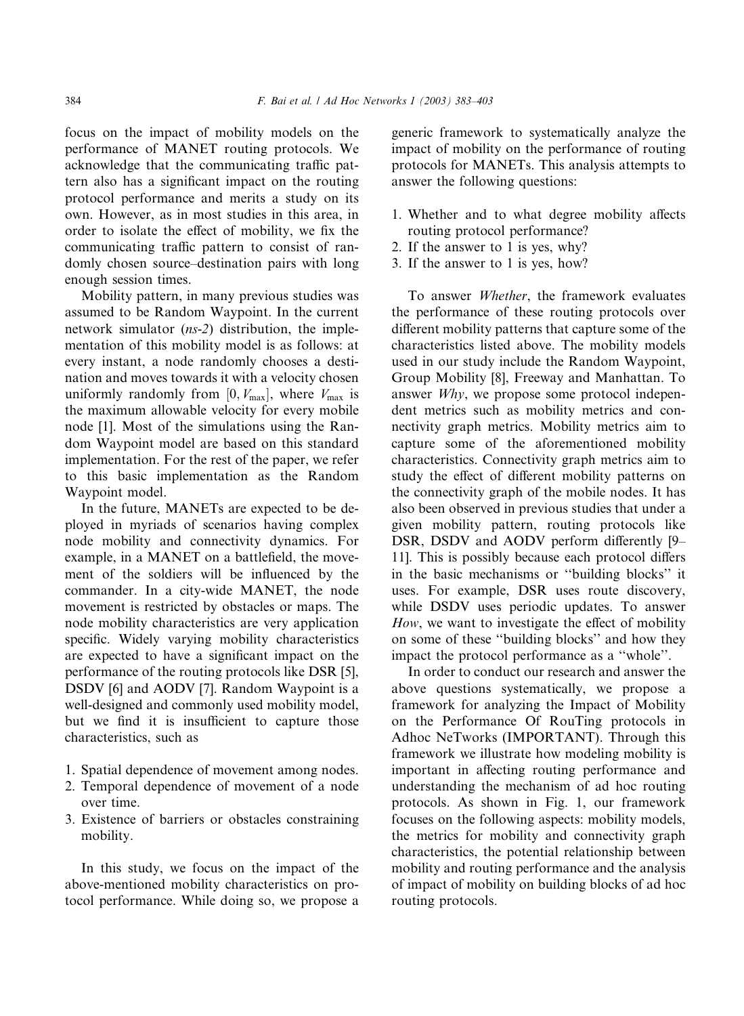focus on the impact of mobility models on the performance of MANET routing protocols. We acknowledge that the communicating traffic pattern also has a significant impact on the routing protocol performance and merits a study on its own. However, as in most studies in this area, in order to isolate the effect of mobility, we fix the communicating traffic pattern to consist of randomly chosen source–destination pairs with long enough session times.

Mobility pattern, in many previous studies was assumed to be Random Waypoint. In the current network simulator (ns-2) distribution, the implementation of this mobility model is as follows: at every instant, a node randomly chooses a destination and moves towards it with a velocity chosen uniformly randomly from  $[0, V_{\text{max}}]$ , where  $V_{\text{max}}$  is the maximum allowable velocity for every mobile node [1]. Most of the simulations using the Random Waypoint model are based on this standard implementation. For the rest of the paper, we refer to this basic implementation as the Random Waypoint model.

In the future, MANETs are expected to be deployed in myriads of scenarios having complex node mobility and connectivity dynamics. For example, in a MANET on a battlefield, the movement of the soldiers will be influenced by the commander. In a city-wide MANET, the node movement is restricted by obstacles or maps. The node mobility characteristics are very application specific. Widely varying mobility characteristics are expected to have a significant impact on the performance of the routing protocols like DSR [5], DSDV [6] and AODV [7]. Random Waypoint is a well-designed and commonly used mobility model, but we find it is insufficient to capture those characteristics, such as

- 1. Spatial dependence of movement among nodes.
- 2. Temporal dependence of movement of a node over time.
- 3. Existence of barriers or obstacles constraining mobility.

In this study, we focus on the impact of the above-mentioned mobility characteristics on protocol performance. While doing so, we propose a generic framework to systematically analyze the impact of mobility on the performance of routing protocols for MANETs. This analysis attempts to answer the following questions:

- 1. Whether and to what degree mobility affects routing protocol performance?
- 2. If the answer to 1 is yes, why?
- 3. If the answer to 1 is yes, how?

To answer Whether, the framework evaluates the performance of these routing protocols over different mobility patterns that capture some of the characteristics listed above. The mobility models used in our study include the Random Waypoint, Group Mobility [8], Freeway and Manhattan. To answer Why, we propose some protocol independent metrics such as mobility metrics and connectivity graph metrics. Mobility metrics aim to capture some of the aforementioned mobility characteristics. Connectivity graph metrics aim to study the effect of different mobility patterns on the connectivity graph of the mobile nodes. It has also been observed in previous studies that under a given mobility pattern, routing protocols like DSR, DSDV and AODV perform differently [9– 11]. This is possibly because each protocol differs in the basic mechanisms or ''building blocks'' it uses. For example, DSR uses route discovery, while DSDV uses periodic updates. To answer How, we want to investigate the effect of mobility on some of these ''building blocks'' and how they impact the protocol performance as a ''whole''.

In order to conduct our research and answer the above questions systematically, we propose a framework for analyzing the Impact of Mobility on the Performance Of RouTing protocols in Adhoc NeTworks (IMPORTANT). Through this framework we illustrate how modeling mobility is important in affecting routing performance and understanding the mechanism of ad hoc routing protocols. As shown in Fig. 1, our framework focuses on the following aspects: mobility models, the metrics for mobility and connectivity graph characteristics, the potential relationship between mobility and routing performance and the analysis of impact of mobility on building blocks of ad hoc routing protocols.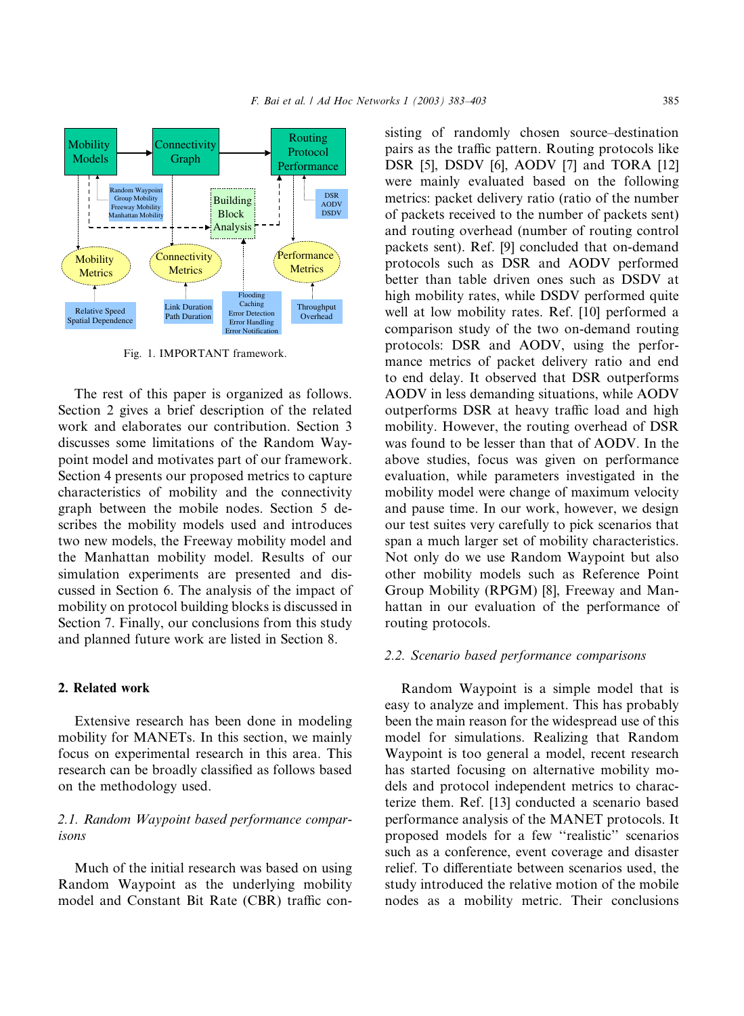F. Bai et al. / AdHoc Networks 1 (2003) 383–403 385



Fig. 1. IMPORTANT framework.

The rest of this paper is organized as follows. Section 2 gives a brief description of the related work and elaborates our contribution. Section 3 discusses some limitations of the Random Waypoint model and motivates part of our framework. Section 4 presents our proposed metrics to capture characteristics of mobility and the connectivity graph between the mobile nodes. Section 5 describes the mobility models used and introduces two new models, the Freeway mobility model and the Manhattan mobility model. Results of our simulation experiments are presented and discussed in Section 6. The analysis of the impact of mobility on protocol building blocks is discussed in Section 7. Finally, our conclusions from this study and planned future work are listed in Section 8.

# 2. Related work

Extensive research has been done in modeling mobility for MANETs. In this section, we mainly focus on experimental research in this area. This research can be broadly classified as follows based on the methodology used.

# 2.1. Random Waypoint based performance comparisons

Much of the initial research was based on using Random Waypoint as the underlying mobility model and Constant Bit Rate (CBR) traffic consisting of randomly chosen source–destination pairs as the traffic pattern. Routing protocols like DSR [5], DSDV [6], AODV [7] and TORA [12] were mainly evaluated based on the following metrics: packet delivery ratio (ratio of the number of packets received to the number of packets sent) and routing overhead (number of routing control packets sent). Ref. [9] concluded that on-demand protocols such as DSR and AODV performed better than table driven ones such as DSDV at high mobility rates, while DSDV performed quite well at low mobility rates. Ref. [10] performed a comparison study of the two on-demand routing protocols: DSR and AODV, using the performance metrics of packet delivery ratio and end to end delay. It observed that DSR outperforms AODV in less demanding situations, while AODV outperforms DSR at heavy traffic load and high mobility. However, the routing overhead of DSR was found to be lesser than that of AODV. In the above studies, focus was given on performance evaluation, while parameters investigated in the mobility model were change of maximum velocity and pause time. In our work, however, we design our test suites very carefully to pick scenarios that span a much larger set of mobility characteristics. Not only do we use Random Waypoint but also other mobility models such as Reference Point Group Mobility (RPGM) [8], Freeway and Manhattan in our evaluation of the performance of routing protocols.

#### 2.2. Scenario based performance comparisons

Random Waypoint is a simple model that is easy to analyze and implement. This has probably been the main reason for the widespread use of this model for simulations. Realizing that Random Waypoint is too general a model, recent research has started focusing on alternative mobility models and protocol independent metrics to characterize them. Ref. [13] conducted a scenario based performance analysis of the MANET protocols. It proposed models for a few ''realistic'' scenarios such as a conference, event coverage and disaster relief. To differentiate between scenarios used, the study introduced the relative motion of the mobile nodes as a mobility metric. Their conclusions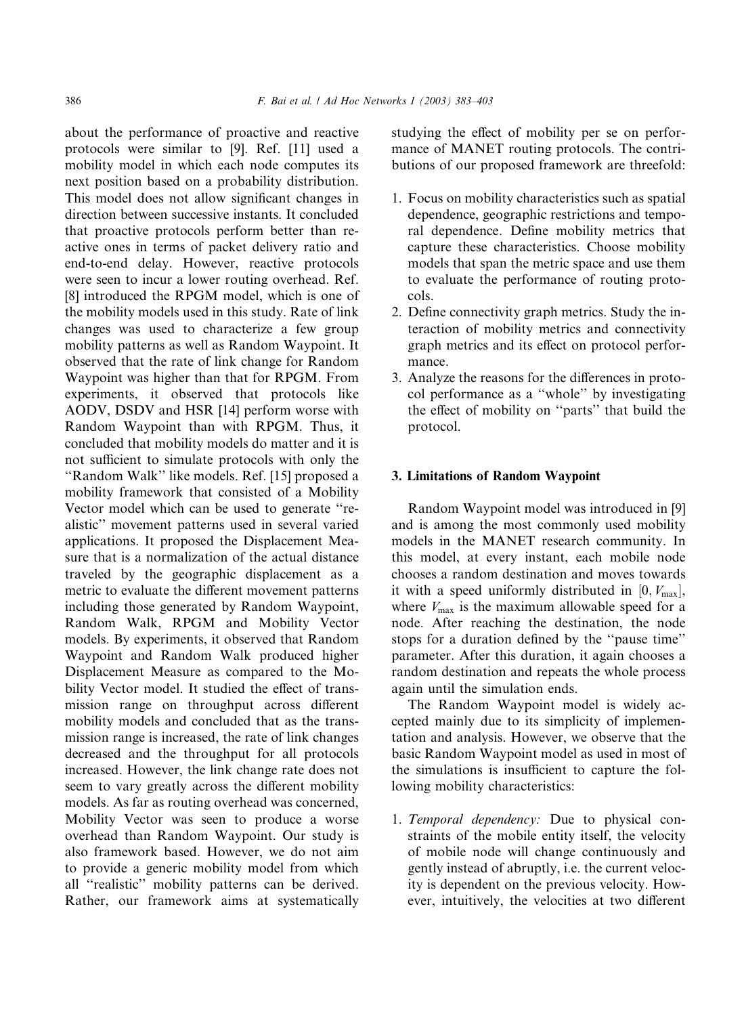about the performance of proactive and reactive protocols were similar to [9]. Ref. [11] used a mobility model in which each node computes its next position based on a probability distribution. This model does not allow significant changes in direction between successive instants. It concluded that proactive protocols perform better than reactive ones in terms of packet delivery ratio and end-to-end delay. However, reactive protocols were seen to incur a lower routing overhead. Ref. [8] introduced the RPGM model, which is one of the mobility models used in this study. Rate of link changes was used to characterize a few group mobility patterns as well as Random Waypoint. It observed that the rate of link change for Random Waypoint was higher than that for RPGM. From experiments, it observed that protocols like AODV, DSDV and HSR [14] perform worse with Random Waypoint than with RPGM. Thus, it concluded that mobility models do matter and it is not sufficient to simulate protocols with only the ''Random Walk'' like models. Ref. [15] proposed a mobility framework that consisted of a Mobility Vector model which can be used to generate ''realistic'' movement patterns used in several varied applications. It proposed the Displacement Measure that is a normalization of the actual distance traveled by the geographic displacement as a metric to evaluate the different movement patterns including those generated by Random Waypoint, Random Walk, RPGM and Mobility Vector models. By experiments, it observed that Random Waypoint and Random Walk produced higher Displacement Measure as compared to the Mobility Vector model. It studied the effect of transmission range on throughput across different mobility models and concluded that as the transmission range is increased, the rate of link changes decreased and the throughput for all protocols increased. However, the link change rate does not seem to vary greatly across the different mobility models. As far as routing overhead was concerned, Mobility Vector was seen to produce a worse overhead than Random Waypoint. Our study is also framework based. However, we do not aim to provide a generic mobility model from which all ''realistic'' mobility patterns can be derived. Rather, our framework aims at systematically

studying the effect of mobility per se on performance of MANET routing protocols. The contributions of our proposed framework are threefold:

- 1. Focus on mobility characteristics such as spatial dependence, geographic restrictions and temporal dependence. Define mobility metrics that capture these characteristics. Choose mobility models that span the metric space and use them to evaluate the performance of routing protocols.
- 2. Define connectivity graph metrics. Study the interaction of mobility metrics and connectivity graph metrics and its effect on protocol performance.
- 3. Analyze the reasons for the differences in protocol performance as a ''whole'' by investigating the effect of mobility on ''parts'' that build the protocol.

#### 3. Limitations of Random Waypoint

Random Waypoint model was introduced in [9] and is among the most commonly used mobility models in the MANET research community. In this model, at every instant, each mobile node chooses a random destination and moves towards it with a speed uniformly distributed in  $[0, V_{\text{max}}]$ , where  $V_{\text{max}}$  is the maximum allowable speed for a node. After reaching the destination, the node stops for a duration defined by the ''pause time'' parameter. After this duration, it again chooses a random destination and repeats the whole process again until the simulation ends.

The Random Waypoint model is widely accepted mainly due to its simplicity of implementation and analysis. However, we observe that the basic Random Waypoint model as used in most of the simulations is insufficient to capture the following mobility characteristics:

1. Temporal dependency: Due to physical constraints of the mobile entity itself, the velocity of mobile node will change continuously and gently instead of abruptly, i.e. the current velocity is dependent on the previous velocity. However, intuitively, the velocities at two different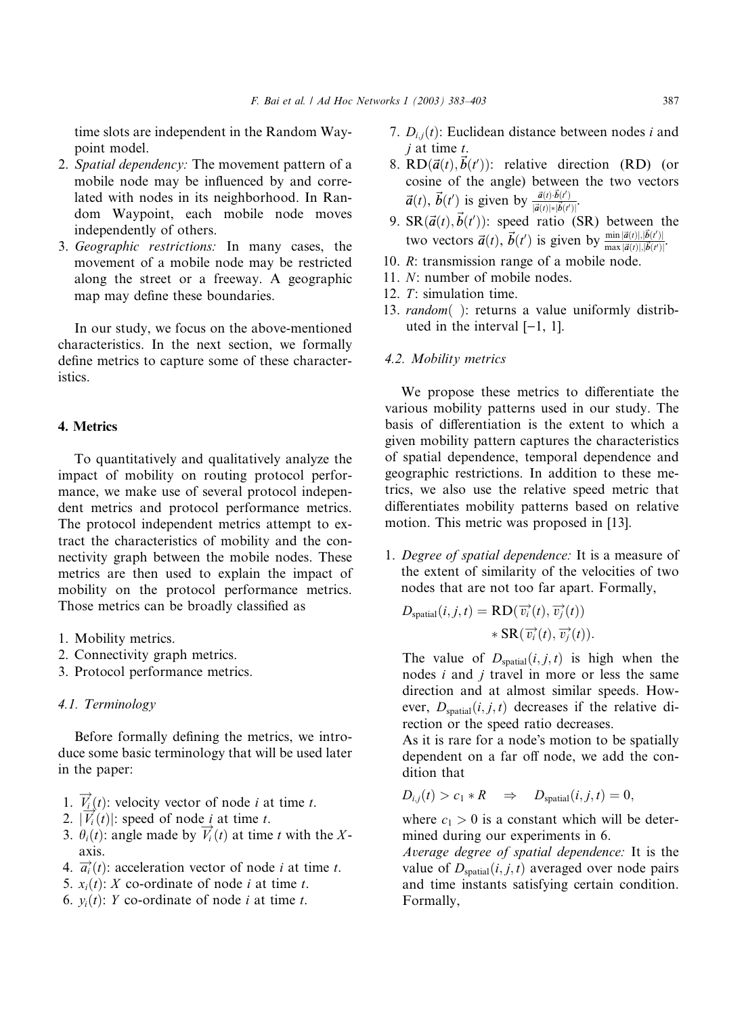time slots are independent in the Random Waypoint model.

- 2. Spatial dependency: The movement pattern of a mobile node may be influenced by and correlated with nodes in its neighborhood. In Random Waypoint, each mobile node moves independently of others.
- 3. Geographic restrictions: In many cases, the movement of a mobile node may be restricted along the street or a freeway. A geographic map may define these boundaries.

In our study, we focus on the above-mentioned characteristics. In the next section, we formally define metrics to capture some of these characteristics.

## 4. Metrics

To quantitatively and qualitatively analyze the impact of mobility on routing protocol performance, we make use of several protocol independent metrics and protocol performance metrics. The protocol independent metrics attempt to extract the characteristics of mobility and the connectivity graph between the mobile nodes. These metrics are then used to explain the impact of mobility on the protocol performance metrics. Those metrics can be broadly classified as

- 1. Mobility metrics.
- 2. Connectivity graph metrics.
- 3. Protocol performance metrics.

#### 4.1. Terminology

Before formally defining the metrics, we introduce some basic terminology that will be used later in the paper:

- 1.  $\overrightarrow{V}_i(t)$ : velocity vector of node *i* at time *t*.
- 1.  $V_i(t)$ : velocity vector of node *i* at time *t*.<br>2.  $|\overrightarrow{V_i}(t)|$ : speed of node *i* at time *t*.
- 3.  $\theta_i(t)$ : angle made by  $\overrightarrow{V}_i(t)$  at time t with the Xaxis.
- 4.  $\overrightarrow{a_i}(t)$ : acceleration vector of node *i* at time *t*.
- 5.  $x_i(t)$ : X co-ordinate of node i at time t.
- 6.  $y_i(t)$ : *Y* co-ordinate of node *i* at time *t*.
- 7.  $D_{i,j}(t)$ : Euclidean distance between nodes i and  $j$  at time  $t$ .
- 8.  $RD(\vec{a}(t), \vec{b}(t))$ : relative direction (RD) (or cosine of the angle) between the two vectors  $\vec{a}(t), \vec{b}(t')$  is given by  $\frac{\vec{a}(t) \cdot \vec{b}(t')}{|\vec{a}(t)| \cdot |\vec{b}(t')|}$ .
- 9. SR $(\vec{a}(t), \vec{b}(t'))$ : speed ratio (SR) between the two vectors  $\vec{a}(t)$ ,  $\vec{b}(t')$  is given by  $\frac{\min |\vec{a}(t)|, |\vec{b}(t')|}{\max |\vec{a}(t)|, |\vec{b}(t')|}$  $\frac{\min |a(t)|, |b(t)|}{\max |\vec{a}(t)|, |\vec{b}(t')|}.$
- 10. R: transmission range of a mobile node.
- 11. N: number of mobile nodes.
- 12.  $T$ : simulation time.
- 13. random $($ ): returns a value uniformly distributed in the interval  $[-1, 1]$ .
- 4.2. Mobility metrics

We propose these metrics to differentiate the various mobility patterns used in our study. The basis of differentiation is the extent to which a given mobility pattern captures the characteristics of spatial dependence, temporal dependence and geographic restrictions. In addition to these metrics, we also use the relative speed metric that differentiates mobility patterns based on relative motion. This metric was proposed in [13].

1. Degree of spatial dependence: It is a measure of the extent of similarity of the velocities of two nodes that are not too far apart. Formally,

$$
D_{\text{spatial}}(i, j, t) = \text{RD}(\overrightarrow{v_i}(t), \overrightarrow{v_j}(t))
$$

$$
+ \text{SR}(\overrightarrow{v_i}(t), \overrightarrow{v_j}(t)).
$$

The value of  $D_{\text{spatial}}(i, j, t)$  is high when the nodes  $i$  and  $j$  travel in more or less the same direction and at almost similar speeds. However,  $D_{\text{spatial}}(i, j, t)$  decreases if the relative direction or the speed ratio decreases.

As it is rare for a node's motion to be spatially dependent on a far off node, we add the condition that

$$
D_{i,j}(t) > c_1 * R \quad \Rightarrow \quad D_{\text{spatial}}(i,j,t) = 0,
$$

where  $c_1 > 0$  is a constant which will be determined during our experiments in 6.

Average degree of spatial dependence: It is the value of  $D_{\text{spatial}}(i, j, t)$  averaged over node pairs and time instants satisfying certain condition. Formally,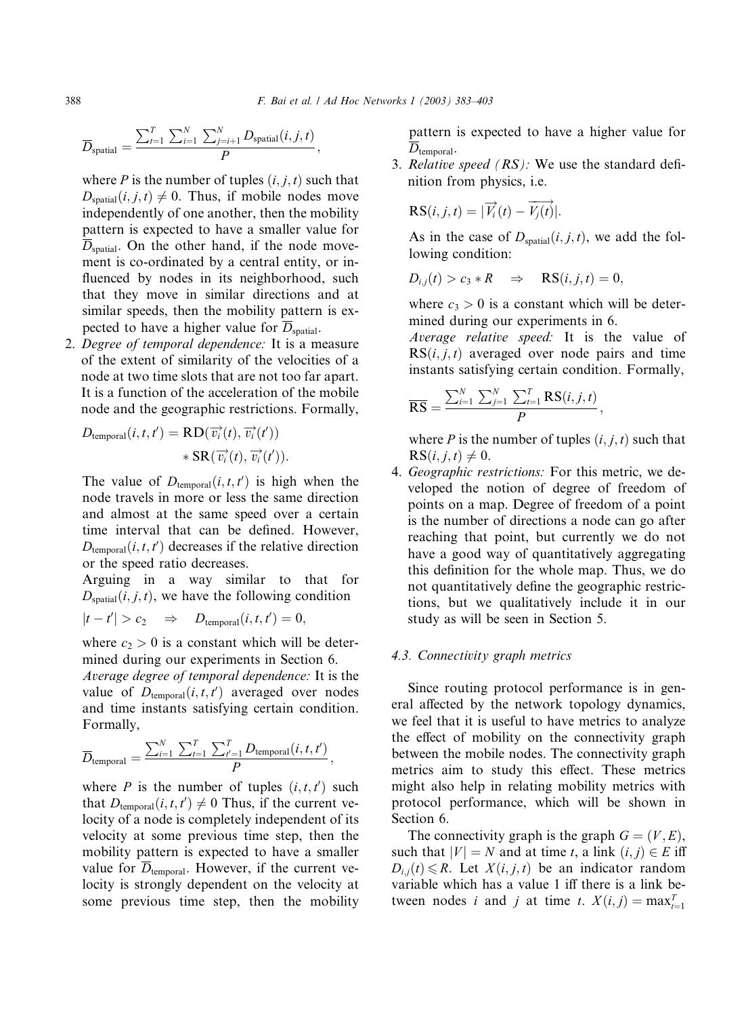$$
\overline{D}_{\text{spatial}} = \frac{\sum_{t=1}^{T} \sum_{i=1}^{N} \sum_{j=i+1}^{N} D_{\text{spatial}}(i, j, t)}{P},
$$

where P is the number of tuples  $(i, j, t)$  such that  $D_{\text{spatial}}(i, j, t) \neq 0$ . Thus, if mobile nodes move independently of one another, then the mobility pattern is expected to have a smaller value for  $\overline{D}_{\text{spatial}}$ . On the other hand, if the node movement is co-ordinated by a central entity, or influenced by nodes in its neighborhood, such that they move in similar directions and at similar speeds, then the mobility pattern is expected to have a higher value for  $\overline{D}_{\text{spatial}}$ .

2. Degree of temporal dependence: It is a measure of the extent of similarity of the velocities of a node at two time slots that are not too far apart. It is a function of the acceleration of the mobile node and the geographic restrictions. Formally,

$$
D_{\text{temporal}}(i, t, t') = \text{RD}(\overrightarrow{v_i}(t), \overrightarrow{v_i}(t')) \ast \text{SR}(\overrightarrow{v_i}(t), \overrightarrow{v_i}(t')).
$$

The value of  $D_{temporal}(i, t, t')$  is high when the node travels in more or less the same direction and almost at the same speed over a certain time interval that can be defined. However,  $D_{\text{temporal}}(i, t, t')$  decreases if the relative direction or the speed ratio decreases.

Arguing in a way similar to that for  $D_{\text{spatial}}(i, j, t)$ , we have the following condition

$$
|t - t'| > c_2 \quad \Rightarrow \quad D_{\text{temporal}}(i, t, t') = 0,
$$

where  $c_2 > 0$  is a constant which will be determined during our experiments in Section 6.

Average degree of temporal dependence: It is the value of  $D_{temporal}(i, t, t')$  averaged over nodes and time instants satisfying certain condition. Formally,

$$
\overline{D}_{\text{temporal}} = \frac{\sum_{i=1}^{N} \sum_{t=1}^{T} \sum_{t'=1}^{T} D_{\text{temporal}}(i, t, t')}{P},
$$

where P is the number of tuples  $(i, t, t')$  such that  $D_{temporal}(i, t, t') \neq 0$  Thus, if the current velocity of a node is completely independent of its velocity at some previous time step, then the mobility pattern is expected to have a smaller value for  $\overline{D}_{\text{temporal}}$ . However, if the current velocity is strongly dependent on the velocity at some previous time step, then the mobility pattern is expected to have a higher value for  $D_{\text{temporal}}$ .

3. Relative speed  $(RS)$ : We use the standard definition from physics, i.e.

$$
RS(i, j, t) = |\overrightarrow{V_i}(t) - \overrightarrow{V_j(t)}|.
$$

As in the case of  $D_{\text{spatial}}(i, j, t)$ , we add the following condition:

$$
D_{i,j}(t) > c_3 * R \quad \Rightarrow \quad \mathbf{RS}(i,j,t) = 0,
$$

where  $c_3 > 0$  is a constant which will be determined during our experiments in 6.

Average relative speed: It is the value of  $RS(i, j, t)$  averaged over node pairs and time instants satisfying certain condition. Formally,

$$
\overline{\text{RS}} = \frac{\sum_{i=1}^{N} \sum_{j=1}^{N} \sum_{t=1}^{T} \text{RS}(i, j, t)}{P},
$$

where P is the number of tuples  $(i, j, t)$  such that  $RS(i, j, t) \neq 0.$ 

4. Geographic restrictions: For this metric, we developed the notion of degree of freedom of points on a map. Degree of freedom of a point is the number of directions a node can go after reaching that point, but currently we do not have a good way of quantitatively aggregating this definition for the whole map. Thus, we do not quantitatively define the geographic restrictions, but we qualitatively include it in our study as will be seen in Section 5.

#### 4.3. Connectivity graph metrics

Since routing protocol performance is in general affected by the network topology dynamics, we feel that it is useful to have metrics to analyze the effect of mobility on the connectivity graph between the mobile nodes. The connectivity graph metrics aim to study this effect. These metrics might also help in relating mobility metrics with protocol performance, which will be shown in Section 6.

The connectivity graph is the graph  $G = (V, E)$ , such that  $|V| = N$  and at time t, a link  $(i, j) \in E$  iff  $D_{i,j}(t) \le R$ . Let  $X(i, j, t)$  be an indicator random variable which has a value 1 iff there is a link between nodes *i* and *j* at time *t*.  $X(i, j) = \max_{i=1}^{T}$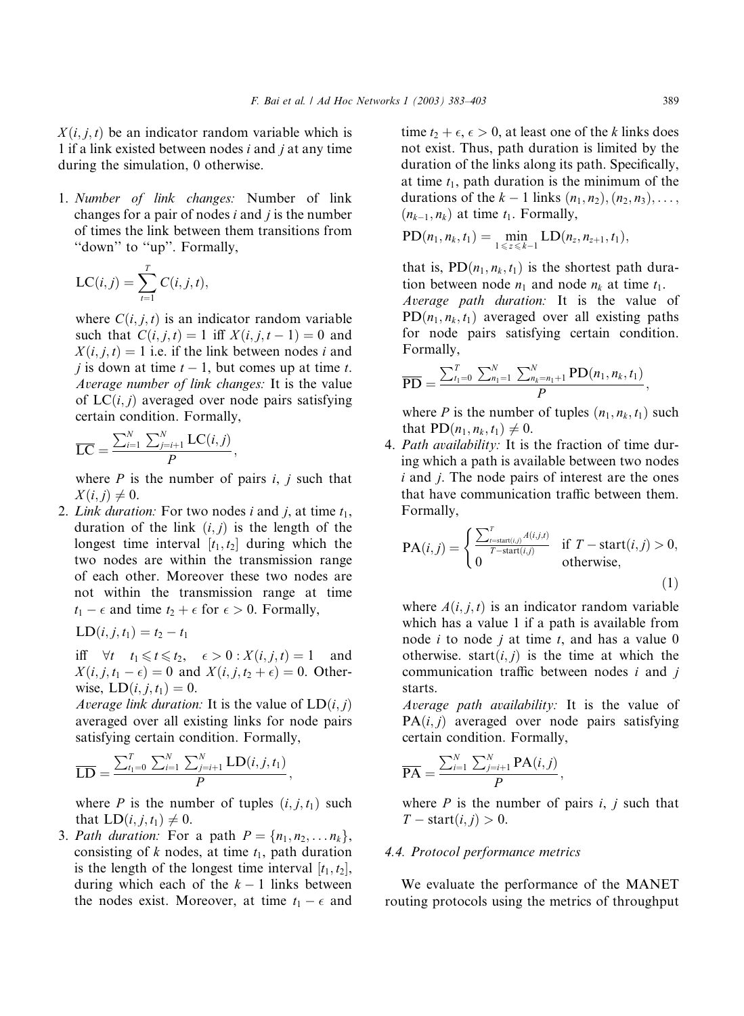$X(i, j, t)$  be an indicator random variable which is 1 if a link existed between nodes  $i$  and  $j$  at any time during the simulation, 0 otherwise.

1. Number of link changes: Number of link changes for a pair of nodes  $i$  and  $j$  is the number of times the link between them transitions from "down" to "up". Formally,

$$
\mathsf{LC}(i,j) = \sum_{t=1}^{T} C(i,j,t),
$$

where  $C(i, j, t)$  is an indicator random variable such that  $C(i, j, t) = 1$  iff  $X(i, j, t - 1) = 0$  and  $X(i, j, t) = 1$  i.e. if the link between nodes i and j is down at time  $t - 1$ , but comes up at time t. Average number of link changes: It is the value of  $LC(i, j)$  averaged over node pairs satisfying certain condition. Formally,

$$
\overline{\text{LC}} = \frac{\sum_{i=1}^{N} \sum_{j=i+1}^{N} \text{LC}(i,j)}{P},
$$

where  $P$  is the number of pairs  $i, j$  such that  $X(i, j) \neq 0.$ 

2. Link duration: For two nodes i and j, at time  $t_1$ , duration of the link  $(i, j)$  is the length of the longest time interval  $[t_1, t_2]$  during which the two nodes are within the transmission range of each other. Moreover these two nodes are not within the transmission range at time  $t_1 - \epsilon$  and time  $t_2 + \epsilon$  for  $\epsilon > 0$ . Formally,

 $LD(i, j, t_1) = t_2 - t_1$ 

iff  $\forall t \quad t_1 \leq t \leq t_2, \quad \epsilon > 0 : X(i, j, t) = 1$  and  $X(i, j, t_1 - \epsilon) = 0$  and  $X(i, j, t_2 + \epsilon) = 0$ . Otherwise,  $LD(i, j, t_1) = 0$ .

Average link duration: It is the value of  $LD(i, j)$ averaged over all existing links for node pairs satisfying certain condition. Formally,

$$
\overline{\text{LD}} = \frac{\sum_{i_1=0}^{T} \sum_{i=1}^{N} \sum_{j=i+1}^{N} \text{LD}(i, j, t_1)}{P},
$$

where P is the number of tuples  $(i, j, t_1)$  such that  $LD(i, j, t_1) \neq 0$ .

3. Path duration: For a path  $P = \{n_1, n_2, \ldots n_k\},\$ consisting of  $k$  nodes, at time  $t_1$ , path duration is the length of the longest time interval  $[t_1, t_2]$ , during which each of the  $k - 1$  links between the nodes exist. Moreover, at time  $t_1 - \epsilon$  and

time  $t_2 + \epsilon$ ,  $\epsilon > 0$ , at least one of the k links does not exist. Thus, path duration is limited by the duration of the links along its path. Specifically, at time  $t_1$ , path duration is the minimum of the durations of the  $k-1$  links  $(n_1, n_2), (n_2, n_3), \ldots$  $(n_{k-1}, n_k)$  at time  $t_1$ . Formally,

$$
PD(n_1, n_k, t_1) = \min_{1 \leq z \leq k-1} LD(n_z, n_{z+1}, t_1),
$$

that is,  $PD(n_1, n_k, t_1)$  is the shortest path duration between node  $n_1$  and node  $n_k$  at time  $t_1$ . Average path duration: It is the value of

 $PD(n_1, n_k, t_1)$  averaged over all existing paths for node pairs satisfying certain condition. Formally,

$$
\overline{\text{PD}} = \frac{\sum_{t_1=0}^{T} \sum_{n_1=1}^{N} \sum_{n_k=n_1+1}^{N} \text{PD}(n_1, n_k, t_1)}{P},
$$

where P is the number of tuples  $(n_1, n_k, t_1)$  such that  $PD(n_1, n_k, t_1) \neq 0$ .

4. Path availability: It is the fraction of time during which a path is available between two nodes  $i$  and  $j$ . The node pairs of interest are the ones that have communication traffic between them. Formally,

$$
\text{PA}(i,j) = \begin{cases} \frac{\sum_{i=\text{start}(i,j)}^{T} A(i,j,t)}{T - \text{start}(i,j)} & \text{if } T - \text{start}(i,j) > 0, \\ 0 & \text{otherwise,} \end{cases} \tag{1}
$$

where  $A(i, j, t)$  is an indicator random variable which has a value 1 if a path is available from node *i* to node *j* at time *t*, and has a value 0 otherwise. start $(i, j)$  is the time at which the communication traffic between nodes  $i$  and  $j$ starts.

Average path availability: It is the value of  $PA(i, j)$  averaged over node pairs satisfying certain condition. Formally,

$$
\overline{PA} = \frac{\sum_{i=1}^{N} \sum_{j=i+1}^{N} PA(i,j)}{P},
$$

where  $P$  is the number of pairs  $i, j$  such that  $T - start(i, j) > 0.$ 

## 4.4. Protocol performance metrics

We evaluate the performance of the MANET routing protocols using the metrics of throughput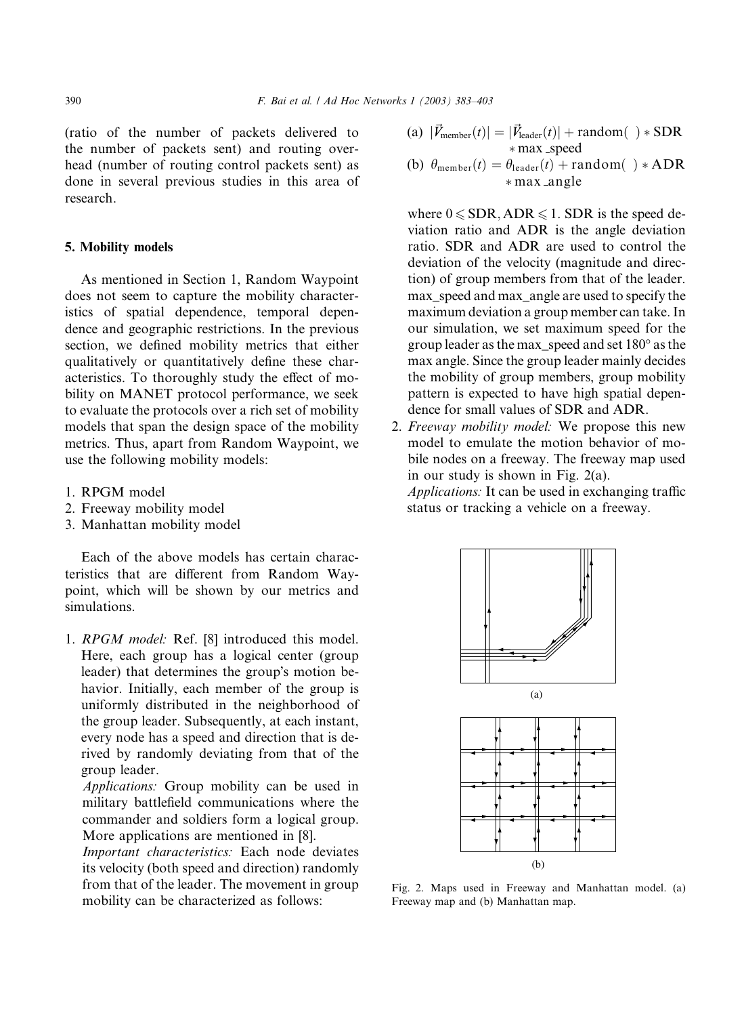(ratio of the number of packets delivered to the number of packets sent) and routing overhead (number of routing control packets sent) as done in several previous studies in this area of research.

#### 5. Mobility models

As mentioned in Section 1, Random Waypoint does not seem to capture the mobility characteristics of spatial dependence, temporal dependence and geographic restrictions. In the previous section, we defined mobility metrics that either qualitatively or quantitatively define these characteristics. To thoroughly study the effect of mobility on MANET protocol performance, we seek to evaluate the protocols over a rich set of mobility models that span the design space of the mobility metrics. Thus, apart from Random Waypoint, we use the following mobility models:

- 1. RPGM model
- 2. Freeway mobility model
- 3. Manhattan mobility model

Each of the above models has certain characteristics that are different from Random Waypoint, which will be shown by our metrics and simulations.

1. RPGM model: Ref. [8] introduced this model. Here, each group has a logical center (group leader) that determines the group's motion behavior. Initially, each member of the group is uniformly distributed in the neighborhood of the group leader. Subsequently, at each instant, every node has a speed and direction that is derived by randomly deviating from that of the group leader.

Applications: Group mobility can be used in military battlefield communications where the commander and soldiers form a logical group. More applications are mentioned in [8].

Important characteristics: Each node deviates its velocity (both speed and direction) randomly from that of the leader. The movement in group mobility can be characterized as follows:

(a)  $|\vec{V}_{\text{member}}(t)| = |\vec{V}_{\text{leader}}(t)| + \text{random}$  +  $\text{SDR}$  max speed

(b) 
$$
\theta_{\text{member}}(t) = \theta_{\text{leader}}(t) + \text{random}( ) * \text{ADR} * \text{max\_angle}
$$

where  $0 \leqslant SDR$ , ADR  $\leqslant$  1. SDR is the speed deviation ratio and ADR is the angle deviation ratio. SDR and ADR are used to control the deviation of the velocity (magnitude and direction) of group members from that of the leader. max\_speed and max\_angle are used to specify the maximum deviation a group member can take. In our simulation, we set maximum speed for the group leader as the  $max$  speed and set  $180^{\circ}$  as the max angle. Since the group leader mainly decides the mobility of group members, group mobility pattern is expected to have high spatial dependence for small values of SDR and ADR.

2. Freeway mobility model: We propose this new model to emulate the motion behavior of mobile nodes on a freeway. The freeway map used in our study is shown in Fig. 2(a).

Applications: It can be used in exchanging traffic status or tracking a vehicle on a freeway.



Fig. 2. Maps used in Freeway and Manhattan model. (a) Freeway map and (b) Manhattan map.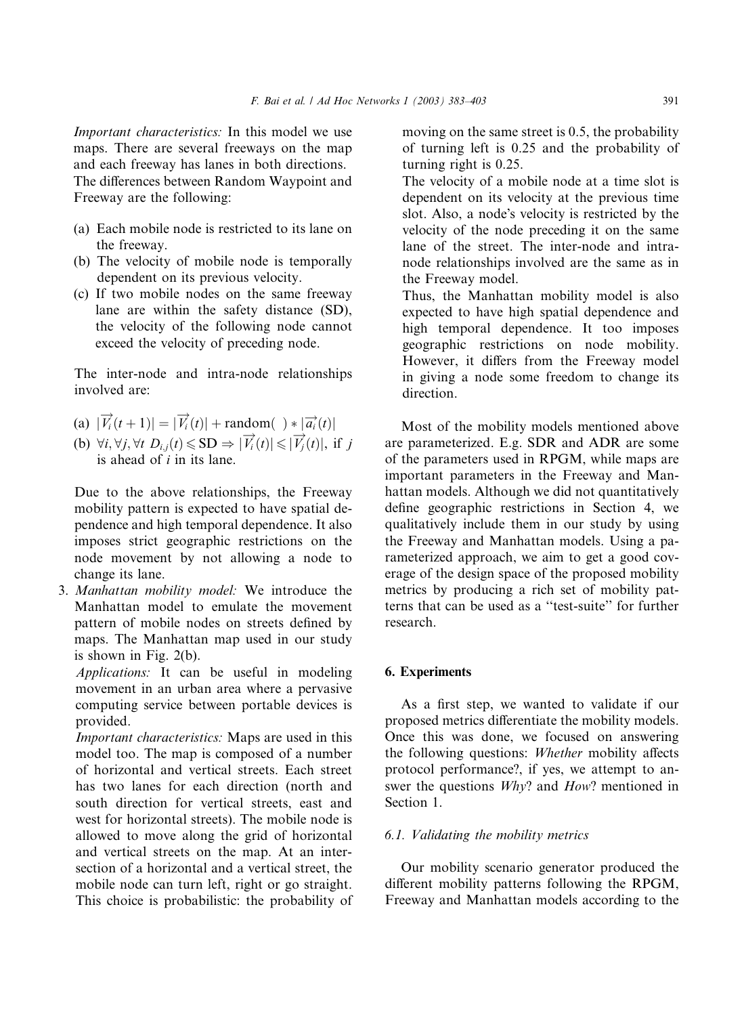Important characteristics: In this model we use maps. There are several freeways on the map and each freeway has lanes in both directions. The differences between Random Waypoint and Freeway are the following:

- (a) Each mobile node is restricted to its lane on the freeway.
- (b) The velocity of mobile node is temporally dependent on its previous velocity.
- (c) If two mobile nodes on the same freeway lane are within the safety distance (SD), the velocity of the following node cannot exceed the velocity of preceding node.

The inter-node and intra-node relationships involved are:

- (a)  $|\overrightarrow{V}_i(t+1)| = |\overrightarrow{V}_i(t)| + \text{random}(\ ) * |\overrightarrow{a_i}(t)|$
- (b)  $\forall i, \forall j, \forall t \ D_{i,j}(t) \leq \text{SD} \Rightarrow |\overrightarrow{V_i}(t)| \leq |\overrightarrow{V_j}(t)|$ , if j is ahead of  $i$  in its lane.

Due to the above relationships, the Freeway mobility pattern is expected to have spatial dependence and high temporal dependence. It also imposes strict geographic restrictions on the node movement by not allowing a node to change its lane.

3. Manhattan mobility model: We introduce the Manhattan model to emulate the movement pattern of mobile nodes on streets defined by maps. The Manhattan map used in our study is shown in Fig. 2(b).

Applications: It can be useful in modeling movement in an urban area where a pervasive computing service between portable devices is provided.

Important characteristics: Maps are used in this model too. The map is composed of a number of horizontal and vertical streets. Each street has two lanes for each direction (north and south direction for vertical streets, east and west for horizontal streets). The mobile node is allowed to move along the grid of horizontal and vertical streets on the map. At an intersection of a horizontal and a vertical street, the mobile node can turn left, right or go straight. This choice is probabilistic: the probability of moving on the same street is 0.5, the probability of turning left is 0.25 and the probability of turning right is 0.25.

The velocity of a mobile node at a time slot is dependent on its velocity at the previous time slot. Also, a node's velocity is restricted by the velocity of the node preceding it on the same lane of the street. The inter-node and intranode relationships involved are the same as in the Freeway model.

Thus, the Manhattan mobility model is also expected to have high spatial dependence and high temporal dependence. It too imposes geographic restrictions on node mobility. However, it differs from the Freeway model in giving a node some freedom to change its direction.

Most of the mobility models mentioned above are parameterized. E.g. SDR and ADR are some of the parameters used in RPGM, while maps are important parameters in the Freeway and Manhattan models. Although we did not quantitatively define geographic restrictions in Section 4, we qualitatively include them in our study by using the Freeway and Manhattan models. Using a parameterized approach, we aim to get a good coverage of the design space of the proposed mobility metrics by producing a rich set of mobility patterns that can be used as a ''test-suite'' for further research.

## 6. Experiments

As a first step, we wanted to validate if our proposed metrics differentiate the mobility models. Once this was done, we focused on answering the following questions: Whether mobility affects protocol performance?, if yes, we attempt to answer the questions Why? and How? mentioned in Section 1.

## 6.1. Validating the mobility metrics

Our mobility scenario generator produced the different mobility patterns following the RPGM, Freeway and Manhattan models according to the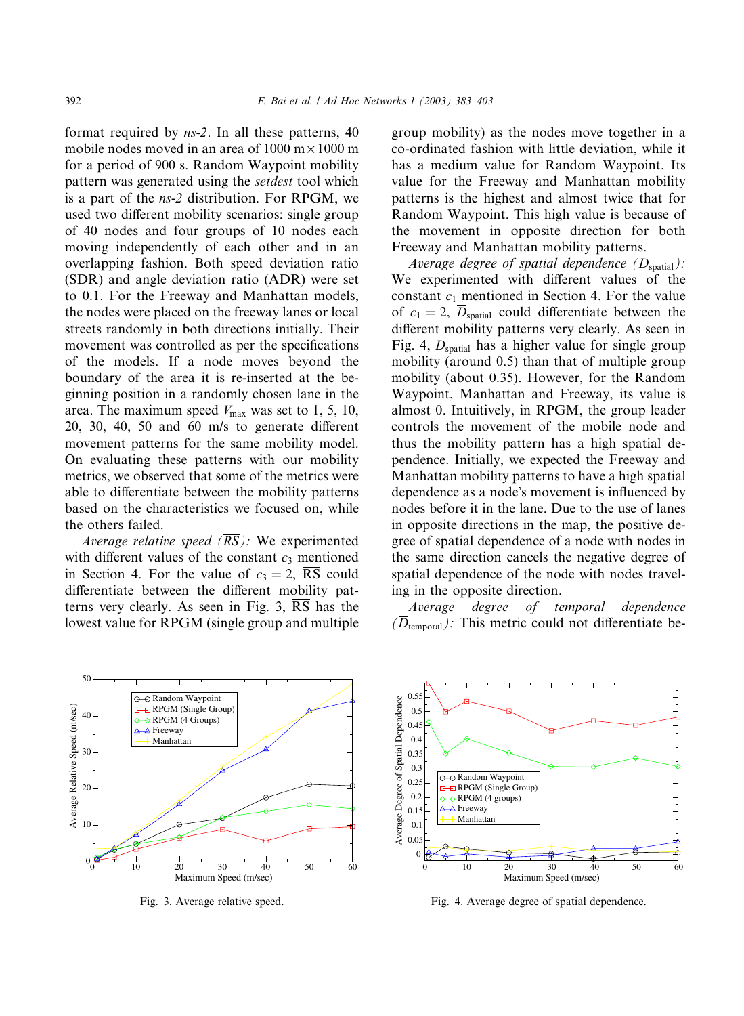format required by ns-2. In all these patterns, 40 mobile nodes moved in an area of  $1000 \text{ m} \times 1000 \text{ m}$ for a period of 900 s. Random Waypoint mobility pattern was generated using the setdest tool which is a part of the ns-2 distribution. For RPGM, we used two different mobility scenarios: single group of 40 nodes and four groups of 10 nodes each moving independently of each other and in an overlapping fashion. Both speed deviation ratio (SDR) and angle deviation ratio (ADR) were set to 0.1. For the Freeway and Manhattan models, the nodes were placed on the freeway lanes or local streets randomly in both directions initially. Their movement was controlled as per the specifications of the models. If a node moves beyond the boundary of the area it is re-inserted at the beginning position in a randomly chosen lane in the area. The maximum speed  $V_{\text{max}}$  was set to 1, 5, 10, 20, 30, 40, 50 and 60 m/s to generate different movement patterns for the same mobility model. On evaluating these patterns with our mobility metrics, we observed that some of the metrics were able to differentiate between the mobility patterns based on the characteristics we focused on, while the others failed.

Average relative speed ( $\overline{RS}$ ): We experimented with different values of the constant  $c_3$  mentioned in Section 4. For the value of  $c_3 = 2$ ,  $\overline{RS}$  could differentiate between the different mobility patterns very clearly. As seen in Fig. 3,  $\overline{RS}$  has the lowest value for RPGM (single group and multiple group mobility) as the nodes move together in a co-ordinated fashion with little deviation, while it has a medium value for Random Waypoint. Its value for the Freeway and Manhattan mobility patterns is the highest and almost twice that for Random Waypoint. This high value is because of the movement in opposite direction for both Freeway and Manhattan mobility patterns.

Average degree of spatial dependence  $(\overline{D}_{\text{spatial}})$ : We experimented with different values of the constant  $c_1$  mentioned in Section 4. For the value of  $c_1 = 2$ ,  $\overline{D}_{\text{spatial}}$  could differentiate between the different mobility patterns very clearly. As seen in Fig. 4,  $\overline{D}_{\text{spatial}}$  has a higher value for single group mobility (around 0.5) than that of multiple group mobility (about 0.35). However, for the Random Waypoint, Manhattan and Freeway, its value is almost 0. Intuitively, in RPGM, the group leader controls the movement of the mobile node and thus the mobility pattern has a high spatial dependence. Initially, we expected the Freeway and Manhattan mobility patterns to have a high spatial dependence as a node's movement is influenced by nodes before it in the lane. Due to the use of lanes in opposite directions in the map, the positive degree of spatial dependence of a node with nodes in the same direction cancels the negative degree of spatial dependence of the node with nodes traveling in the opposite direction.

Average degree of temporal dependence  $(\overline{D}_{temporal})$ : This metric could not differentiate be-



Fig. 3. Average relative speed.



Fig. 4. Average degree of spatial dependence.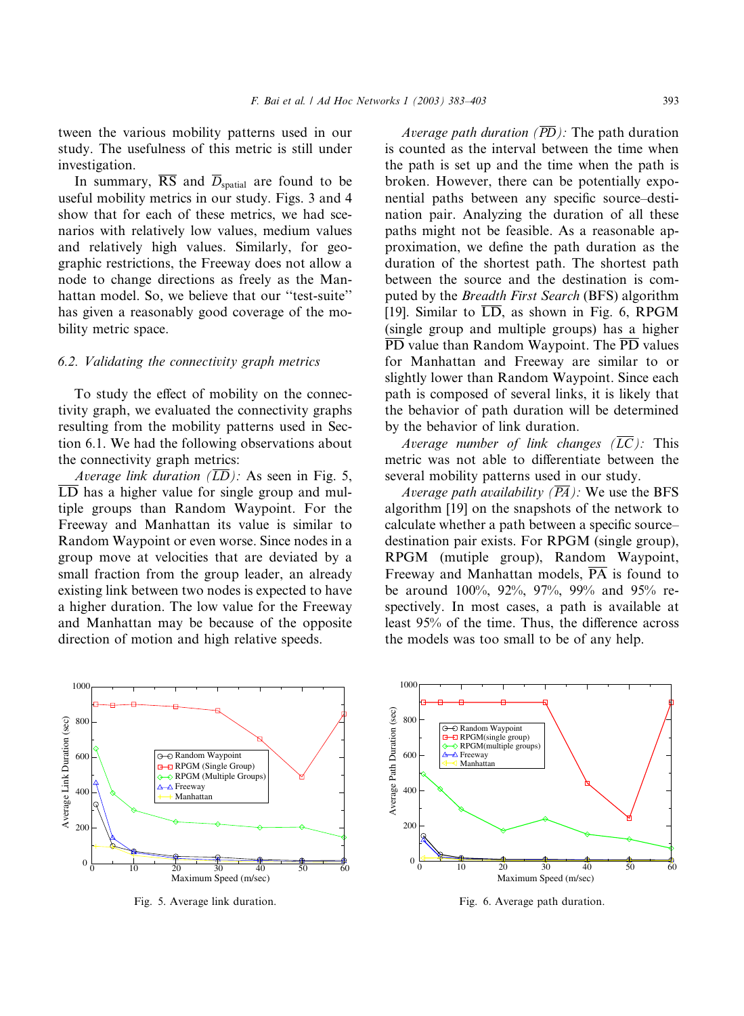tween the various mobility patterns used in our study. The usefulness of this metric is still under investigation.

In summary,  $\overline{RS}$  and  $\overline{D}_{spatial}$  are found to be useful mobility metrics in our study. Figs. 3 and 4 show that for each of these metrics, we had scenarios with relatively low values, medium values and relatively high values. Similarly, for geographic restrictions, the Freeway does not allow a node to change directions as freely as the Manhattan model. So, we believe that our "test-suite" has given a reasonably good coverage of the mobility metric space.

## 6.2. Validating the connectivity graph metrics

To study the effect of mobility on the connectivity graph, we evaluated the connectivity graphs resulting from the mobility patterns used in Section 6.1. We had the following observations about the connectivity graph metrics:

Average link duration  $(\overline{LD})$ : As seen in Fig. 5,  $\overline{LD}$  has a higher value for single group and multiple groups than Random Waypoint. For the Freeway and Manhattan its value is similar to Random Waypoint or even worse. Since nodes in a group move at velocities that are deviated by a small fraction from the group leader, an already existing link between two nodes is expected to have a higher duration. The low value for the Freeway and Manhattan may be because of the opposite direction of motion and high relative speeds.

Average path duration ( $\overline{PD}$ ): The path duration is counted as the interval between the time when the path is set up and the time when the path is broken. However, there can be potentially exponential paths between any specific source–destination pair. Analyzing the duration of all these paths might not be feasible. As a reasonable approximation, we define the path duration as the duration of the shortest path. The shortest path between the source and the destination is computed by the Breadth First Search (BFS) algorithm [19]. Similar to  $\overline{LD}$ , as shown in Fig. 6, RPGM (single group and multiple groups) has a higher  $\overline{PD}$  value than Random Waypoint. The  $\overline{PD}$  values for Manhattan and Freeway are similar to or slightly lower than Random Waypoint. Since each path is composed of several links, it is likely that the behavior of path duration will be determined by the behavior of link duration.

Average number of link changes  $(\overline{LC})$ . This metric was not able to differentiate between the several mobility patterns used in our study.

Average path availability  $(\overline{PA})$ : We use the BFS algorithm [19] on the snapshots of the network to calculate whether a path between a specific source– destination pair exists. For RPGM (single group), RPGM (mutiple group), Random Waypoint, Freeway and Manhattan models,  $\overline{PA}$  is found to be around 100%, 92%, 97%, 99% and 95% respectively. In most cases, a path is available at least 95% of the time. Thus, the difference across the models was too small to be of any help.



Fig. 5. Average link duration.



Fig. 6. Average path duration.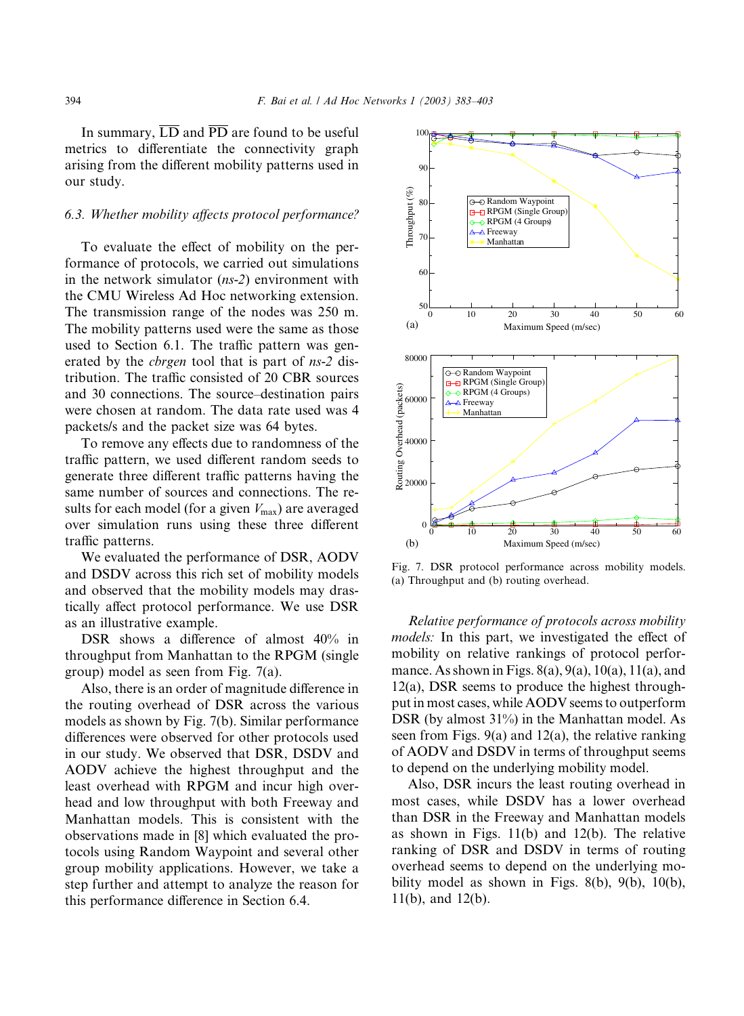In summary,  $\overline{LD}$  and  $\overline{PD}$  are found to be useful metrics to differentiate the connectivity graph arising from the different mobility patterns used in our study.

#### 6.3. Whether mobility affects protocol performance?

To evaluate the effect of mobility on the performance of protocols, we carried out simulations in the network simulator  $(ns-2)$  environment with the CMU Wireless Ad Hoc networking extension. The transmission range of the nodes was 250 m. The mobility patterns used were the same as those used to Section 6.1. The traffic pattern was generated by the cbrgen tool that is part of ns-2 distribution. The traffic consisted of 20 CBR sources and 30 connections. The source–destination pairs were chosen at random. The data rate used was 4 packets/s and the packet size was 64 bytes.

To remove any effects due to randomness of the traffic pattern, we used different random seeds to generate three different traffic patterns having the same number of sources and connections. The results for each model (for a given  $V_{\text{max}}$ ) are averaged over simulation runs using these three different traffic patterns.

We evaluated the performance of DSR, AODV and DSDV across this rich set of mobility models and observed that the mobility models may drastically affect protocol performance. We use DSR as an illustrative example.

DSR shows a difference of almost 40% in throughput from Manhattan to the RPGM (single group) model as seen from Fig. 7(a).

Also, there is an order of magnitude difference in the routing overhead of DSR across the various models as shown by Fig. 7(b). Similar performance differences were observed for other protocols used in our study. We observed that DSR, DSDV and AODV achieve the highest throughput and the least overhead with RPGM and incur high overhead and low throughput with both Freeway and Manhattan models. This is consistent with the observations made in [8] which evaluated the protocols using Random Waypoint and several other group mobility applications. However, we take a step further and attempt to analyze the reason for this performance difference in Section 6.4.



Fig. 7. DSR protocol performance across mobility models. (a) Throughput and (b) routing overhead.

Relative performance of protocols across mobility models: In this part, we investigated the effect of mobility on relative rankings of protocol performance. As shown in Figs.  $8(a)$ ,  $9(a)$ ,  $10(a)$ ,  $11(a)$ , and 12(a), DSR seems to produce the highest throughput in most cases, while AODV seems to outperform DSR (by almost 31%) in the Manhattan model. As seen from Figs. 9(a) and 12(a), the relative ranking of AODV and DSDV in terms of throughput seems to depend on the underlying mobility model.

Also, DSR incurs the least routing overhead in most cases, while DSDV has a lower overhead than DSR in the Freeway and Manhattan models as shown in Figs. 11(b) and 12(b). The relative ranking of DSR and DSDV in terms of routing overhead seems to depend on the underlying mobility model as shown in Figs. 8(b), 9(b), 10(b), 11(b), and 12(b).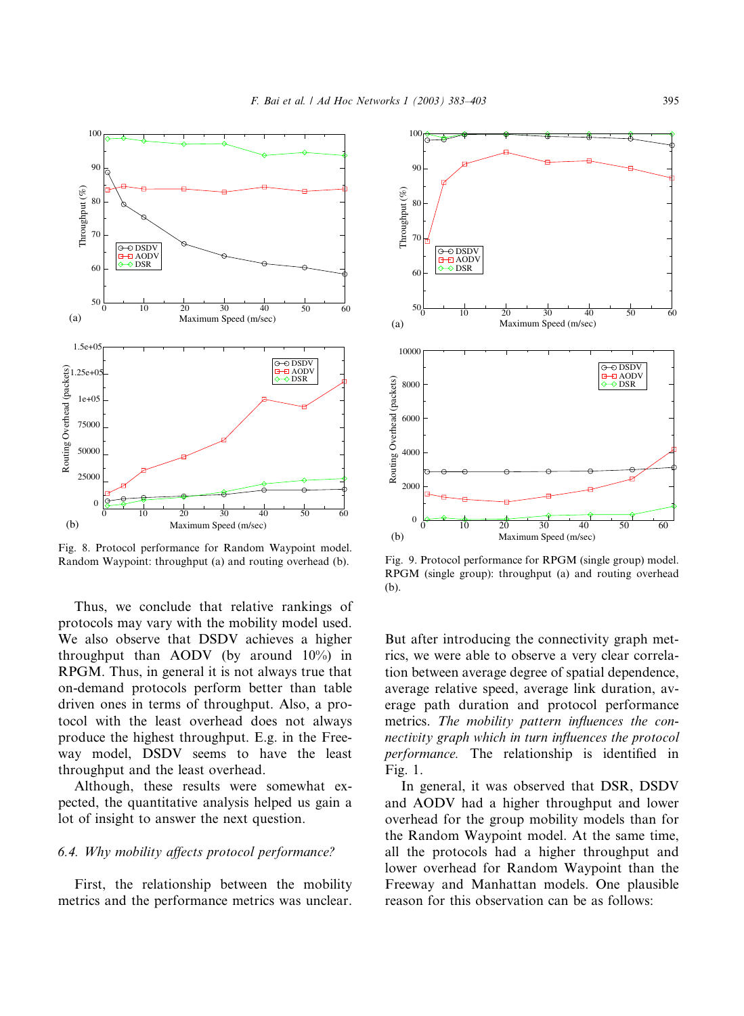

Fig. 8. Protocol performance for Random Waypoint model. Random Waypoint: throughput (a) and routing overhead (b).

Thus, we conclude that relative rankings of protocols may vary with the mobility model used. We also observe that DSDV achieves a higher throughput than AODV (by around 10%) in RPGM. Thus, in general it is not always true that on-demand protocols perform better than table driven ones in terms of throughput. Also, a protocol with the least overhead does not always produce the highest throughput. E.g. in the Freeway model, DSDV seems to have the least throughput and the least overhead.

Although, these results were somewhat expected, the quantitative analysis helped us gain a lot of insight to answer the next question.

## 6.4. Why mobility affects protocol performance?

First, the relationship between the mobility metrics and the performance metrics was unclear.



Fig. 9. Protocol performance for RPGM (single group) model. RPGM (single group): throughput (a) and routing overhead (b).

But after introducing the connectivity graph metrics, we were able to observe a very clear correlation between average degree of spatial dependence, average relative speed, average link duration, average path duration and protocol performance metrics. The mobility pattern influences the connectivity graph which in turn influences the protocol performance. The relationship is identified in Fig. 1.

In general, it was observed that DSR, DSDV and AODV had a higher throughput and lower overhead for the group mobility models than for the Random Waypoint model. At the same time, all the protocols had a higher throughput and lower overhead for Random Waypoint than the Freeway and Manhattan models. One plausible reason for this observation can be as follows: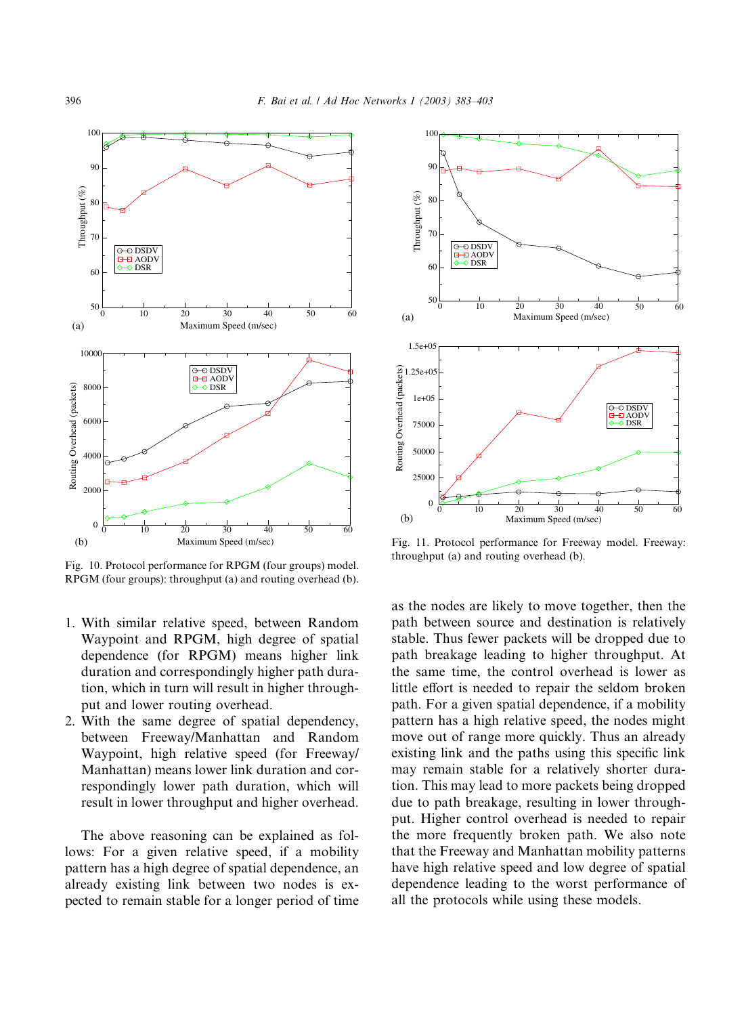

Fig. 10. Protocol performance for RPGM (four groups) model. RPGM (four groups): throughput (a) and routing overhead (b).

- 1. With similar relative speed, between Random Waypoint and RPGM, high degree of spatial dependence (for RPGM) means higher link duration and correspondingly higher path duration, which in turn will result in higher throughput and lower routing overhead.
- 2. With the same degree of spatial dependency, between Freeway/Manhattan and Random Waypoint, high relative speed (for Freeway/ Manhattan) means lower link duration and correspondingly lower path duration, which will result in lower throughput and higher overhead.

The above reasoning can be explained as follows: For a given relative speed, if a mobility pattern has a high degree of spatial dependence, an already existing link between two nodes is expected to remain stable for a longer period of time



Fig. 11. Protocol performance for Freeway model. Freeway: throughput (a) and routing overhead (b).

as the nodes are likely to move together, then the path between source and destination is relatively stable. Thus fewer packets will be dropped due to path breakage leading to higher throughput. At the same time, the control overhead is lower as little effort is needed to repair the seldom broken path. For a given spatial dependence, if a mobility pattern has a high relative speed, the nodes might move out of range more quickly. Thus an already existing link and the paths using this specific link may remain stable for a relatively shorter duration. This may lead to more packets being dropped due to path breakage, resulting in lower throughput. Higher control overhead is needed to repair the more frequently broken path. We also note that the Freeway and Manhattan mobility patterns have high relative speed and low degree of spatial dependence leading to the worst performance of all the protocols while using these models.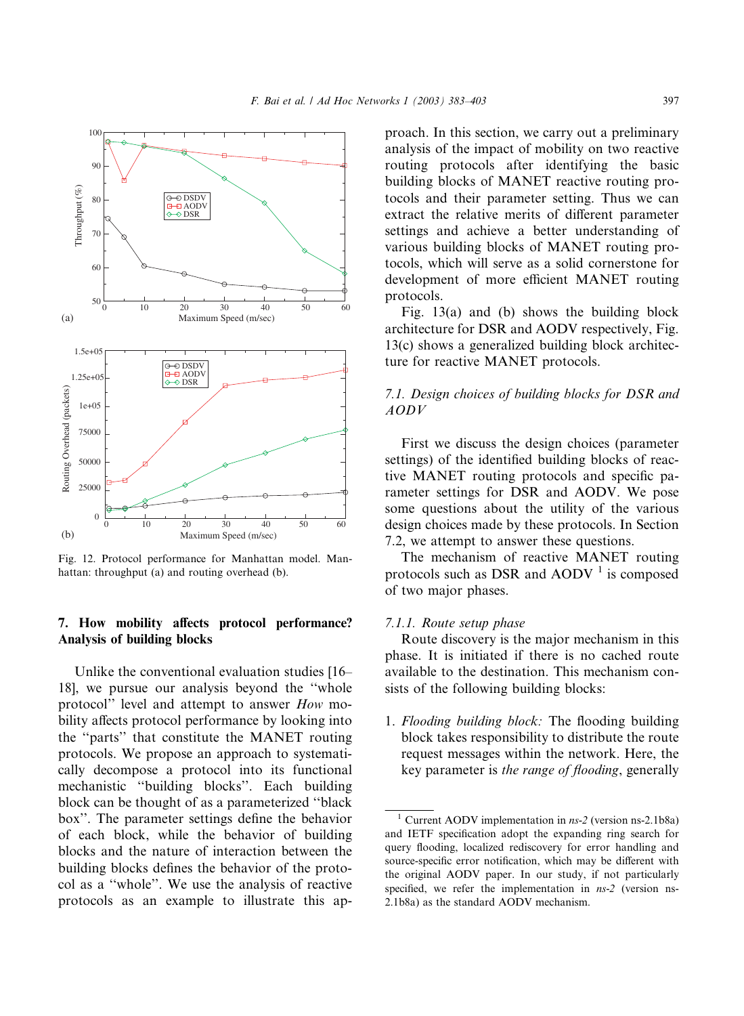

Fig. 12. Protocol performance for Manhattan model. Manhattan: throughput (a) and routing overhead (b).

# 7. How mobility affects protocol performance? Analysis of building blocks

Unlike the conventional evaluation studies [16– 18], we pursue our analysis beyond the ''whole protocol'' level and attempt to answer How mobility affects protocol performance by looking into the ''parts'' that constitute the MANET routing protocols. We propose an approach to systematically decompose a protocol into its functional mechanistic ''building blocks''. Each building block can be thought of as a parameterized ''black box''. The parameter settings define the behavior of each block, while the behavior of building blocks and the nature of interaction between the building blocks defines the behavior of the protocol as a ''whole''. We use the analysis of reactive protocols as an example to illustrate this approach. In this section, we carry out a preliminary analysis of the impact of mobility on two reactive routing protocols after identifying the basic building blocks of MANET reactive routing protocols and their parameter setting. Thus we can extract the relative merits of different parameter settings and achieve a better understanding of various building blocks of MANET routing protocols, which will serve as a solid cornerstone for development of more efficient MANET routing protocols.

Fig. 13(a) and (b) shows the building block architecture for DSR and AODV respectively, Fig. 13(c) shows a generalized building block architecture for reactive MANET protocols.

# 7.1. Design choices of building blocks for DSR and AODV

First we discuss the design choices (parameter settings) of the identified building blocks of reactive MANET routing protocols and specific parameter settings for DSR and AODV. We pose some questions about the utility of the various design choices made by these protocols. In Section 7.2, we attempt to answer these questions.

The mechanism of reactive MANET routing protocols such as DSR and AODV $<sup>1</sup>$  is composed</sup> of two major phases.

## 7.1.1. Route setup phase

Route discovery is the major mechanism in this phase. It is initiated if there is no cached route available to the destination. This mechanism consists of the following building blocks:

1. Flooding building block: The flooding building block takes responsibility to distribute the route request messages within the network. Here, the key parameter is the range of flooding, generally

Current AODV implementation in ns-2 (version ns-2.1b8a) and IETF specification adopt the expanding ring search for query flooding, localized rediscovery for error handling and source-specific error notification, which may be different with the original AODV paper. In our study, if not particularly specified, we refer the implementation in  $ns-2$  (version ns-2.1b8a) as the standard AODV mechanism.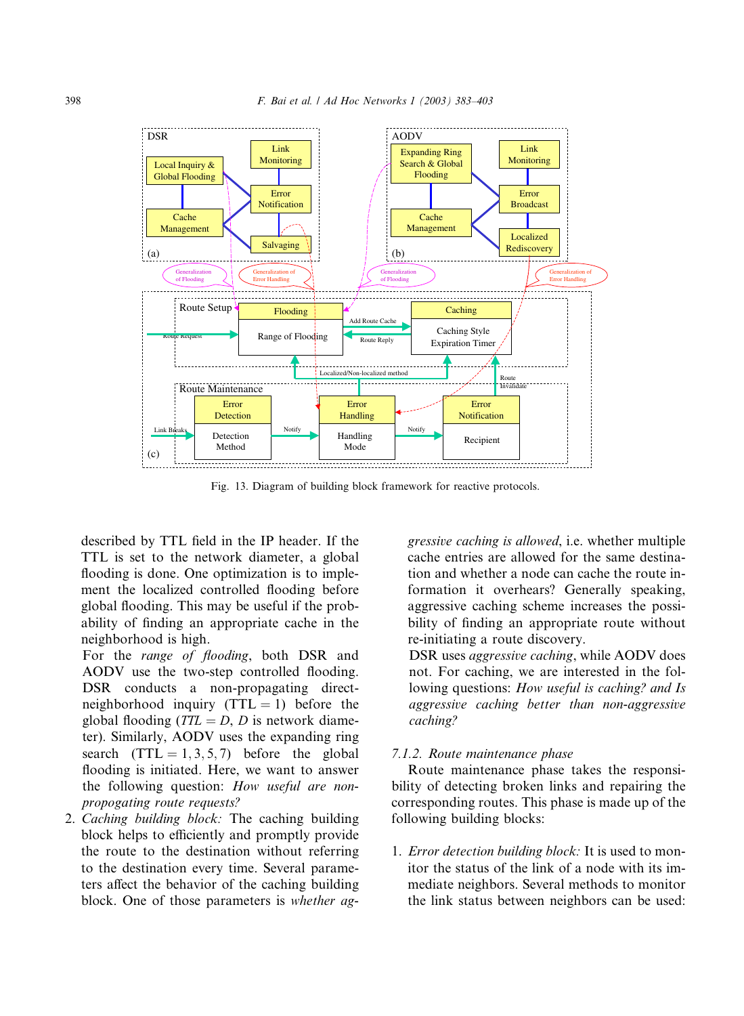

Fig. 13. Diagram of building block framework for reactive protocols.

described by TTL field in the IP header. If the TTL is set to the network diameter, a global flooding is done. One optimization is to implement the localized controlled flooding before global flooding. This may be useful if the probability of finding an appropriate cache in the neighborhood is high.

For the range of flooding, both DSR and AODV use the two-step controlled flooding. DSR conducts a non-propagating directneighborhood inquiry  $(TTL = 1)$  before the global flooding ( $TTL = D$ , D is network diameter). Similarly, AODV uses the expanding ring search  $(TTL = 1, 3, 5, 7)$  before the global flooding is initiated. Here, we want to answer the following question: How useful are nonpropogating route requests?

2. Caching building block: The caching building block helps to efficiently and promptly provide the route to the destination without referring to the destination every time. Several parameters affect the behavior of the caching building block. One of those parameters is whether aggressive caching is allowed, i.e. whether multiple cache entries are allowed for the same destination and whether a node can cache the route information it overhears? Generally speaking, aggressive caching scheme increases the possibility of finding an appropriate route without re-initiating a route discovery.

DSR uses aggressive caching, while AODV does not. For caching, we are interested in the following questions: How useful is caching? and Is aggressive caching better than non-aggressive caching?

#### 7.1.2. Route maintenance phase

Route maintenance phase takes the responsibility of detecting broken links and repairing the corresponding routes. This phase is made up of the following building blocks:

1. Error detection building block: It is used to monitor the status of the link of a node with its immediate neighbors. Several methods to monitor the link status between neighbors can be used: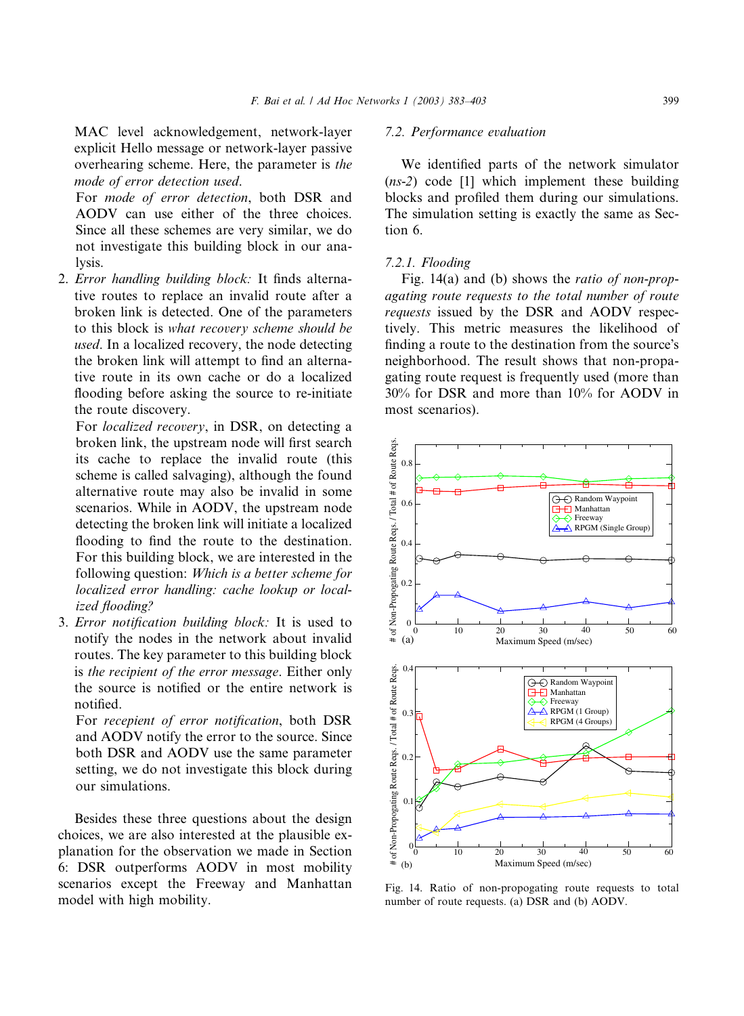MAC level acknowledgement, network-layer explicit Hello message or network-layer passive overhearing scheme. Here, the parameter is the mode of error detection used.

For mode of error detection, both DSR and AODV can use either of the three choices. Since all these schemes are very similar, we do not investigate this building block in our analysis.

2. Error handling building block: It finds alternative routes to replace an invalid route after a broken link is detected. One of the parameters to this block is what recovery scheme should be used. In a localized recovery, the node detecting the broken link will attempt to find an alternative route in its own cache or do a localized flooding before asking the source to re-initiate the route discovery.

For *localized recovery*, in DSR, on detecting a broken link, the upstream node will first search its cache to replace the invalid route (this scheme is called salvaging), although the found alternative route may also be invalid in some scenarios. While in AODV, the upstream node detecting the broken link will initiate a localized flooding to find the route to the destination. For this building block, we are interested in the following question: Which is a better scheme for localized error handling: cache lookup or localized flooding?

3. Error notification building block: It is used to notify the nodes in the network about invalid routes. The key parameter to this building block is the recipient of the error message. Either only the source is notified or the entire network is notified.

For recepient of error notification, both DSR and AODV notify the error to the source. Since both DSR and AODV use the same parameter setting, we do not investigate this block during our simulations.

Besides these three questions about the design choices, we are also interested at the plausible explanation for the observation we made in Section 6: DSR outperforms AODV in most mobility scenarios except the Freeway and Manhattan model with high mobility.

# 7.2. Performance evaluation

We identified parts of the network simulator (ns-2) code [1] which implement these building blocks and profiled them during our simulations. The simulation setting is exactly the same as Section 6.

## 7.2.1. Flooding

Fig. 14(a) and (b) shows the ratio of non-propagating route requests to the total number of route requests issued by the DSR and AODV respectively. This metric measures the likelihood of finding a route to the destination from the source's neighborhood. The result shows that non-propagating route request is frequently used (more than 30% for DSR and more than 10% for AODV in most scenarios).



Fig. 14. Ratio of non-propogating route requests to total number of route requests. (a) DSR and (b) AODV.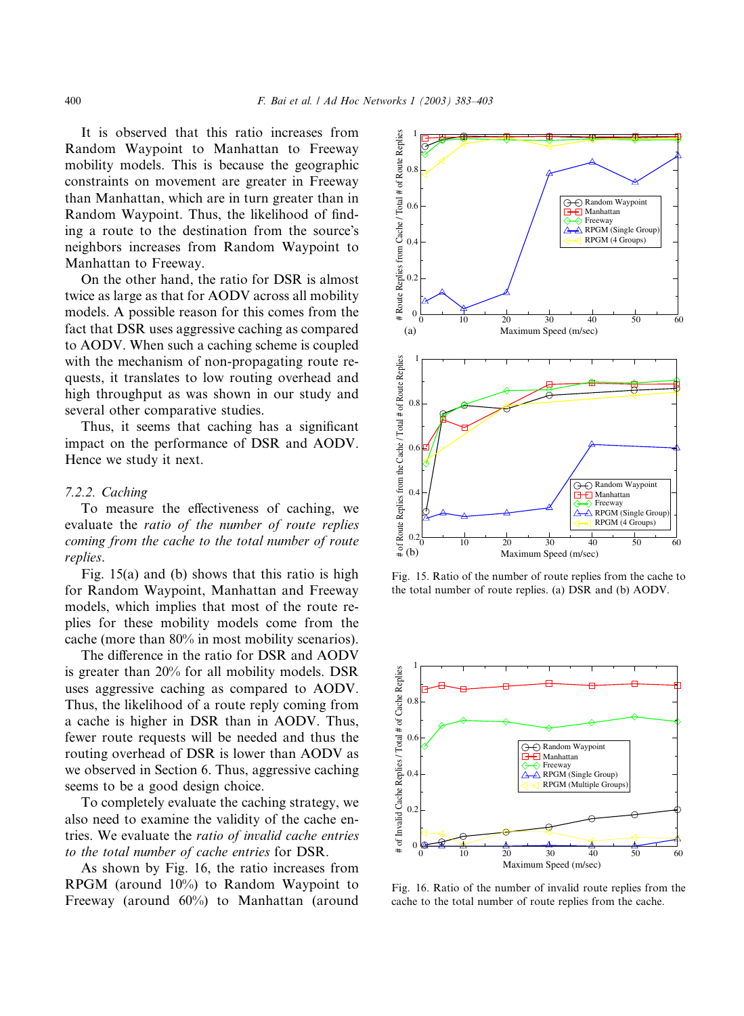It is observed that this ratio increases from Random Waypoint to Manhattan to Freeway mobility models. This is because the geographic constraints on movement are greater in Freeway than Manhattan, which are in turn greater than in Random Waypoint. Thus, the likelihood of finding a route to the destination from the source's neighbors increases from Random Waypoint to Manhattan to Freeway.

On the other hand, the ratio for DSR is almost twice as large as that for AODV across all mobility models. A possible reason for this comes from the fact that DSR uses aggressive caching as compared to AODV. When such a caching scheme is coupled with the mechanism of non-propagating route requests, it translates to low routing overhead and high throughput as was shown in our study and several other comparative studies.

Thus, it seems that caching has a significant impact on the performance of DSR and AODV. Hence we study it next.

## 7.2.2. Caching

To measure the effectiveness of caching, we evaluate the ratio of the number of route replies coming from the cache to the total number of route replies.

Fig. 15(a) and (b) shows that this ratio is high for Random Waypoint, Manhattan and Freeway models, which implies that most of the route replies for these mobility models come from the cache (more than 80% in most mobility scenarios).

The difference in the ratio for DSR and AODV is greater than 20% for all mobility models. DSR uses aggressive caching as compared to AODV. Thus, the likelihood of a route reply coming from a cache is higher in DSR than in AODV. Thus, fewer route requests will be needed and thus the routing overhead of DSR is lower than AODV as we observed in Section 6. Thus, aggressive caching seems to be a good design choice.

To completely evaluate the caching strategy, we also need to examine the validity of the cache entries. We evaluate the ratio of invalid cache entries to the total number of cache entries for DSR.

As shown by Fig. 16, the ratio increases from RPGM (around 10%) to Random Waypoint to Freeway (around 60%) to Manhattan (around



Fig. 15. Ratio of the number of route replies from the cache to the total number of route replies. (a) DSR and (b) AODV.



Fig. 16. Ratio of the number of invalid route replies from the cache to the total number of route replies from the cache.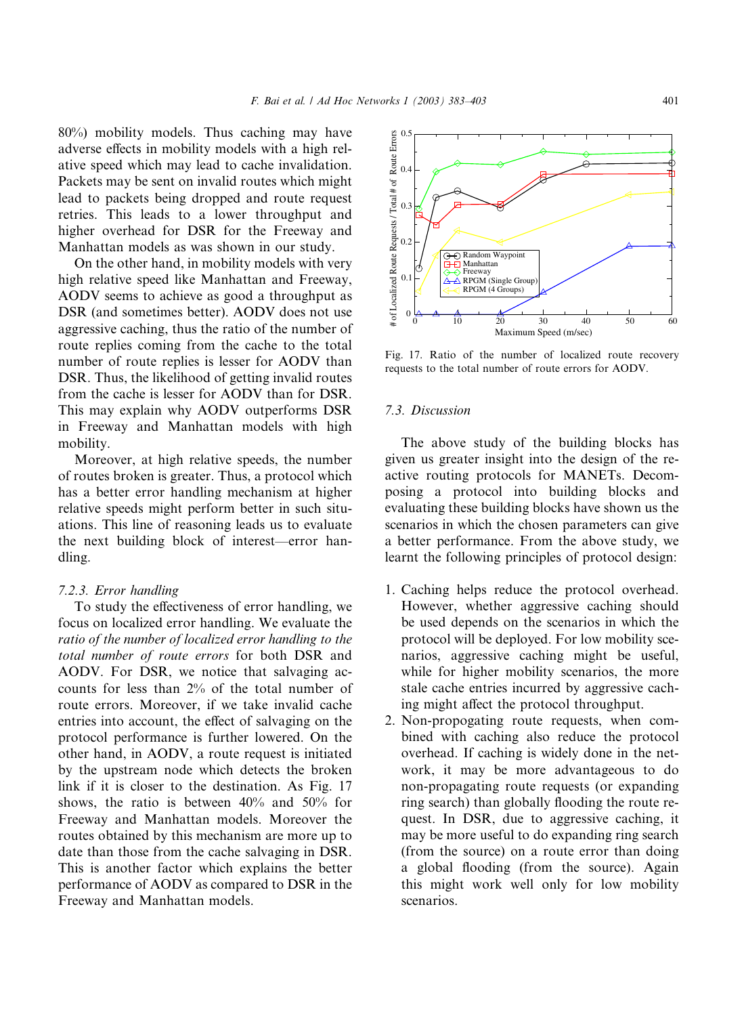80%) mobility models. Thus caching may have adverse effects in mobility models with a high relative speed which may lead to cache invalidation. Packets may be sent on invalid routes which might lead to packets being dropped and route request retries. This leads to a lower throughput and higher overhead for DSR for the Freeway and Manhattan models as was shown in our study.

On the other hand, in mobility models with very high relative speed like Manhattan and Freeway, AODV seems to achieve as good a throughput as DSR (and sometimes better). AODV does not use aggressive caching, thus the ratio of the number of route replies coming from the cache to the total number of route replies is lesser for AODV than DSR. Thus, the likelihood of getting invalid routes from the cache is lesser for AODV than for DSR. This may explain why AODV outperforms DSR in Freeway and Manhattan models with high mobility.

Moreover, at high relative speeds, the number of routes broken is greater. Thus, a protocol which has a better error handling mechanism at higher relative speeds might perform better in such situations. This line of reasoning leads us to evaluate the next building block of interest––error handling.

#### 7.2.3. Error handling

To study the effectiveness of error handling, we focus on localized error handling. We evaluate the ratio of the number of localized error handling to the total number of route errors for both DSR and AODV. For DSR, we notice that salvaging accounts for less than 2% of the total number of route errors. Moreover, if we take invalid cache entries into account, the effect of salvaging on the protocol performance is further lowered. On the other hand, in AODV, a route request is initiated by the upstream node which detects the broken link if it is closer to the destination. As Fig. 17 shows, the ratio is between 40% and 50% for Freeway and Manhattan models. Moreover the routes obtained by this mechanism are more up to date than those from the cache salvaging in DSR. This is another factor which explains the better performance of AODV as compared to DSR in the Freeway and Manhattan models.



Fig. 17. Ratio of the number of localized route recovery requests to the total number of route errors for AODV.

## 7.3. Discussion

The above study of the building blocks has given us greater insight into the design of the reactive routing protocols for MANETs. Decomposing a protocol into building blocks and evaluating these building blocks have shown us the scenarios in which the chosen parameters can give a better performance. From the above study, we learnt the following principles of protocol design:

- 1. Caching helps reduce the protocol overhead. However, whether aggressive caching should be used depends on the scenarios in which the protocol will be deployed. For low mobility scenarios, aggressive caching might be useful, while for higher mobility scenarios, the more stale cache entries incurred by aggressive caching might affect the protocol throughput.
- 2. Non-propogating route requests, when combined with caching also reduce the protocol overhead. If caching is widely done in the network, it may be more advantageous to do non-propagating route requests (or expanding ring search) than globally flooding the route request. In DSR, due to aggressive caching, it may be more useful to do expanding ring search (from the source) on a route error than doing a global flooding (from the source). Again this might work well only for low mobility scenarios.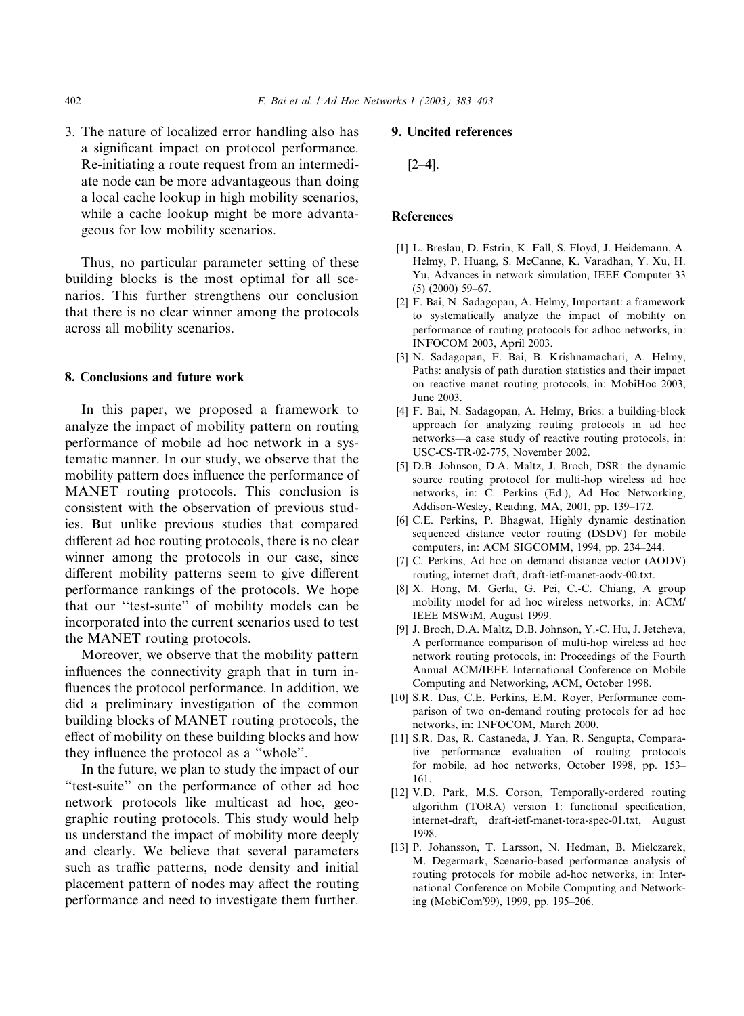3. The nature of localized error handling also has a significant impact on protocol performance. Re-initiating a route request from an intermediate node can be more advantageous than doing a local cache lookup in high mobility scenarios, while a cache lookup might be more advantageous for low mobility scenarios.

Thus, no particular parameter setting of these building blocks is the most optimal for all scenarios. This further strengthens our conclusion that there is no clear winner among the protocols across all mobility scenarios.

#### 8. Conclusions and future work

In this paper, we proposed a framework to analyze the impact of mobility pattern on routing performance of mobile ad hoc network in a systematic manner. In our study, we observe that the mobility pattern does influence the performance of MANET routing protocols. This conclusion is consistent with the observation of previous studies. But unlike previous studies that compared different ad hoc routing protocols, there is no clear winner among the protocols in our case, since different mobility patterns seem to give different performance rankings of the protocols. We hope that our ''test-suite'' of mobility models can be incorporated into the current scenarios used to test the MANET routing protocols.

Moreover, we observe that the mobility pattern influences the connectivity graph that in turn influences the protocol performance. In addition, we did a preliminary investigation of the common building blocks of MANET routing protocols, the effect of mobility on these building blocks and how they influence the protocol as a ''whole''.

In the future, we plan to study the impact of our ''test-suite'' on the performance of other ad hoc network protocols like multicast ad hoc, geographic routing protocols. This study would help us understand the impact of mobility more deeply and clearly. We believe that several parameters such as traffic patterns, node density and initial placement pattern of nodes may affect the routing performance and need to investigate them further.

## 9. Uncited references

 $[2-4]$ .

## **References**

- [1] L. Breslau, D. Estrin, K. Fall, S. Floyd, J. Heidemann, A. Helmy, P. Huang, S. McCanne, K. Varadhan, Y. Xu, H. Yu, Advances in network simulation, IEEE Computer 33 (5) (2000) 59–67.
- [2] F. Bai, N. Sadagopan, A. Helmy, Important: a framework to systematically analyze the impact of mobility on performance of routing protocols for adhoc networks, in: INFOCOM 2003, April 2003.
- [3] N. Sadagopan, F. Bai, B. Krishnamachari, A. Helmy, Paths: analysis of path duration statistics and their impact on reactive manet routing protocols, in: MobiHoc 2003, June 2003.
- [4] F. Bai, N. Sadagopan, A. Helmy, Brics: a building-block approach for analyzing routing protocols in ad hoc networks––a case study of reactive routing protocols, in: USC-CS-TR-02-775, November 2002.
- [5] D.B. Johnson, D.A. Maltz, J. Broch, DSR: the dynamic source routing protocol for multi-hop wireless ad hoc networks, in: C. Perkins (Ed.), Ad Hoc Networking, Addison-Wesley, Reading, MA, 2001, pp. 139–172.
- [6] C.E. Perkins, P. Bhagwat, Highly dynamic destination sequenced distance vector routing (DSDV) for mobile computers, in: ACM SIGCOMM, 1994, pp. 234–244.
- [7] C. Perkins, Ad hoc on demand distance vector (AODV) routing, internet draft, draft-ietf-manet-aodv-00.txt.
- [8] X. Hong, M. Gerla, G. Pei, C.-C. Chiang, A group mobility model for ad hoc wireless networks, in: ACM/ IEEE MSWiM, August 1999.
- [9] J. Broch, D.A. Maltz, D.B. Johnson, Y.-C. Hu, J. Jetcheva, A performance comparison of multi-hop wireless ad hoc network routing protocols, in: Proceedings of the Fourth Annual ACM/IEEE International Conference on Mobile Computing and Networking, ACM, October 1998.
- [10] S.R. Das, C.E. Perkins, E.M. Royer, Performance comparison of two on-demand routing protocols for ad hoc networks, in: INFOCOM, March 2000.
- [11] S.R. Das, R. Castaneda, J. Yan, R. Sengupta, Comparative performance evaluation of routing protocols for mobile, ad hoc networks, October 1998, pp. 153– 161.
- [12] V.D. Park, M.S. Corson, Temporally-ordered routing algorithm (TORA) version 1: functional specification, internet-draft, draft-ietf-manet-tora-spec-01.txt, August 1998.
- [13] P. Johansson, T. Larsson, N. Hedman, B. Mielczarek, M. Degermark, Scenario-based performance analysis of routing protocols for mobile ad-hoc networks, in: International Conference on Mobile Computing and Networking (MobiCom-99), 1999, pp. 195–206.